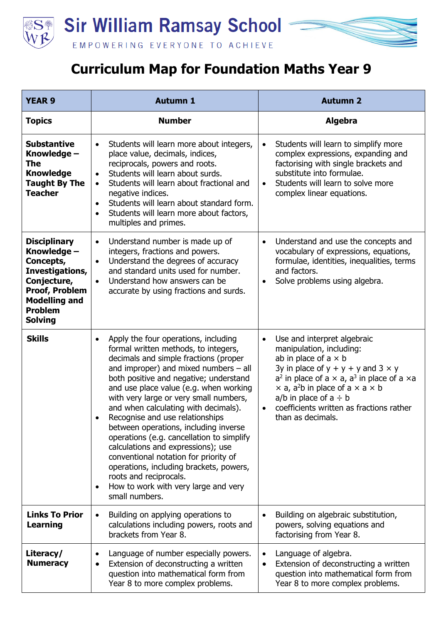

## **Curriculum Map for Foundation Maths Year 9**

| <b>YEAR 9</b>                                                                                                                                                          | <b>Autumn 1</b>                                                                                                                                                                                                                                                                                                                                                                                                                                                                                                                                                                                                                                                                                 | <b>Autumn 2</b>                                                                                                                                                                                                                                                                                                                                                                       |
|------------------------------------------------------------------------------------------------------------------------------------------------------------------------|-------------------------------------------------------------------------------------------------------------------------------------------------------------------------------------------------------------------------------------------------------------------------------------------------------------------------------------------------------------------------------------------------------------------------------------------------------------------------------------------------------------------------------------------------------------------------------------------------------------------------------------------------------------------------------------------------|---------------------------------------------------------------------------------------------------------------------------------------------------------------------------------------------------------------------------------------------------------------------------------------------------------------------------------------------------------------------------------------|
| <b>Topics</b>                                                                                                                                                          | <b>Number</b>                                                                                                                                                                                                                                                                                                                                                                                                                                                                                                                                                                                                                                                                                   | <b>Algebra</b>                                                                                                                                                                                                                                                                                                                                                                        |
| <b>Substantive</b><br>Knowledge -<br><b>The</b><br><b>Knowledge</b><br><b>Taught By The</b><br><b>Teacher</b>                                                          | Students will learn more about integers,<br>$\bullet$<br>place value, decimals, indices,<br>reciprocals, powers and roots.<br>Students will learn about surds.<br>$\bullet$<br>Students will learn about fractional and<br>$\bullet$<br>negative indices.<br>Students will learn about standard form.<br>$\bullet$<br>Students will learn more about factors,<br>$\bullet$<br>multiples and primes.                                                                                                                                                                                                                                                                                             | Students will learn to simplify more<br>$\bullet$<br>complex expressions, expanding and<br>factorising with single brackets and<br>substitute into formulae.<br>Students will learn to solve more<br>$\bullet$<br>complex linear equations.                                                                                                                                           |
| <b>Disciplinary</b><br>Knowledge -<br>Concepts,<br>Investigations,<br>Conjecture,<br><b>Proof, Problem</b><br><b>Modelling and</b><br><b>Problem</b><br><b>Solving</b> | Understand number is made up of<br>$\bullet$<br>integers, fractions and powers.<br>Understand the degrees of accuracy<br>$\bullet$<br>and standard units used for number.<br>Understand how answers can be<br>$\bullet$<br>accurate by using fractions and surds.                                                                                                                                                                                                                                                                                                                                                                                                                               | Understand and use the concepts and<br>$\bullet$<br>vocabulary of expressions, equations,<br>formulae, identities, inequalities, terms<br>and factors.<br>Solve problems using algebra.<br>$\bullet$                                                                                                                                                                                  |
| <b>Skills</b>                                                                                                                                                          | Apply the four operations, including<br>$\bullet$<br>formal written methods, to integers,<br>decimals and simple fractions (proper<br>and improper) and mixed numbers $-$ all<br>both positive and negative; understand<br>and use place value (e.g. when working<br>with very large or very small numbers,<br>and when calculating with decimals).<br>Recognise and use relationships<br>between operations, including inverse<br>operations (e.g. cancellation to simplify<br>calculations and expressions); use<br>conventional notation for priority of<br>operations, including brackets, powers,<br>roots and reciprocals.<br>How to work with very large and very<br>٠<br>small numbers. | Use and interpret algebraic<br>$\bullet$<br>manipulation, including:<br>ab in place of $a \times b$<br>3y in place of $y + y + y$ and $3 \times y$<br>$a2$ in place of a $\times$ a, $a3$ in place of a $\times a$<br>$\times$ a, a <sup>2</sup> b in place of a $\times$ a $\times$ b<br>a/b in place of $a \div b$<br>coefficients written as fractions rather<br>than as decimals. |
| <b>Links To Prior</b><br><b>Learning</b>                                                                                                                               | Building on applying operations to<br>$\bullet$<br>calculations including powers, roots and<br>brackets from Year 8.                                                                                                                                                                                                                                                                                                                                                                                                                                                                                                                                                                            | Building on algebraic substitution,<br>powers, solving equations and<br>factorising from Year 8.                                                                                                                                                                                                                                                                                      |
| Literacy/<br><b>Numeracy</b>                                                                                                                                           | Language of number especially powers.<br>٠<br>Extension of deconstructing a written<br>question into mathematical form from<br>Year 8 to more complex problems.                                                                                                                                                                                                                                                                                                                                                                                                                                                                                                                                 | Language of algebra.<br>Extension of deconstructing a written<br>question into mathematical form from<br>Year 8 to more complex problems.                                                                                                                                                                                                                                             |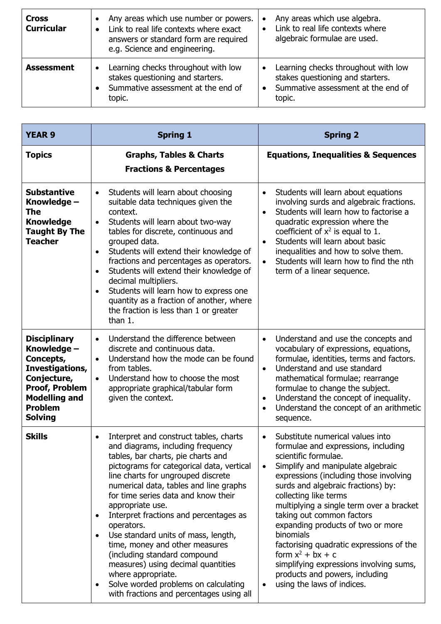| <b>Cross</b><br><b>Curricular</b> | Any areas which use number or powers.<br>Link to real life contexts where exact<br>answers or standard form are required<br>e.g. Science and engineering. | Any areas which use algebra.<br>Link to real life contexts where<br>algebraic formulae are used.                             |
|-----------------------------------|-----------------------------------------------------------------------------------------------------------------------------------------------------------|------------------------------------------------------------------------------------------------------------------------------|
| <b>Assessment</b>                 | Learning checks throughout with low<br>$\bullet$<br>stakes questioning and starters.<br>Summative assessment at the end of<br>topic.                      | Learning checks throughout with low<br>stakes questioning and starters.<br>Summative assessment at the end of<br>٠<br>topic. |

| <b>YEAR 9</b>                                                                                                                                                          | <b>Spring 1</b>                                                                                                                                                                                                                                                                                                                                                                                                                                                                                                                                                                                                                                                   | <b>Spring 2</b>                                                                                                                                                                                                                                                                                                                                                                                                                                                                                                                                                     |
|------------------------------------------------------------------------------------------------------------------------------------------------------------------------|-------------------------------------------------------------------------------------------------------------------------------------------------------------------------------------------------------------------------------------------------------------------------------------------------------------------------------------------------------------------------------------------------------------------------------------------------------------------------------------------------------------------------------------------------------------------------------------------------------------------------------------------------------------------|---------------------------------------------------------------------------------------------------------------------------------------------------------------------------------------------------------------------------------------------------------------------------------------------------------------------------------------------------------------------------------------------------------------------------------------------------------------------------------------------------------------------------------------------------------------------|
| <b>Topics</b>                                                                                                                                                          | <b>Graphs, Tables &amp; Charts</b><br><b>Fractions &amp; Percentages</b>                                                                                                                                                                                                                                                                                                                                                                                                                                                                                                                                                                                          | <b>Equations, Inequalities &amp; Sequences</b>                                                                                                                                                                                                                                                                                                                                                                                                                                                                                                                      |
| <b>Substantive</b><br>Knowledge -<br>The<br><b>Knowledge</b><br><b>Taught By The</b><br><b>Teacher</b>                                                                 | Students will learn about choosing<br>$\bullet$<br>suitable data techniques given the<br>context.<br>Students will learn about two-way<br>$\bullet$<br>tables for discrete, continuous and<br>grouped data.<br>Students will extend their knowledge of<br>$\bullet$<br>fractions and percentages as operators.<br>Students will extend their knowledge of<br>$\bullet$<br>decimal multipliers.<br>Students will learn how to express one<br>$\bullet$<br>quantity as a fraction of another, where<br>the fraction is less than 1 or greater<br>than 1.                                                                                                            | Students will learn about equations<br>$\bullet$<br>involving surds and algebraic fractions.<br>Students will learn how to factorise a<br>$\bullet$<br>quadratic expression where the<br>coefficient of $x^2$ is equal to 1.<br>Students will learn about basic<br>$\bullet$<br>inequalities and how to solve them.<br>Students will learn how to find the nth<br>$\bullet$<br>term of a linear sequence.                                                                                                                                                           |
| <b>Disciplinary</b><br>Knowledge -<br>Concepts,<br>Investigations,<br>Conjecture,<br><b>Proof, Problem</b><br><b>Modelling and</b><br><b>Problem</b><br><b>Solving</b> | Understand the difference between<br>$\bullet$<br>discrete and continuous data.<br>Understand how the mode can be found<br>$\bullet$<br>from tables.<br>Understand how to choose the most<br>$\bullet$<br>appropriate graphical/tabular form<br>given the context.                                                                                                                                                                                                                                                                                                                                                                                                | Understand and use the concepts and<br>$\bullet$<br>vocabulary of expressions, equations,<br>formulae, identities, terms and factors.<br>Understand and use standard<br>$\bullet$<br>mathematical formulae; rearrange<br>formulae to change the subject.<br>Understand the concept of inequality.<br>$\bullet$<br>Understand the concept of an arithmetic<br>$\bullet$<br>sequence.                                                                                                                                                                                 |
| <b>Skills</b>                                                                                                                                                          | Interpret and construct tables, charts<br>$\bullet$<br>and diagrams, including frequency<br>tables, bar charts, pie charts and<br>pictograms for categorical data, vertical<br>line charts for ungrouped discrete<br>numerical data, tables and line graphs<br>for time series data and know their<br>appropriate use.<br>Interpret fractions and percentages as<br>$\bullet$<br>operators.<br>Use standard units of mass, length,<br>$\bullet$<br>time, money and other measures<br>(including standard compound<br>measures) using decimal quantities<br>where appropriate.<br>Solve worded problems on calculating<br>with fractions and percentages using all | Substitute numerical values into<br>$\bullet$<br>formulae and expressions, including<br>scientific formulae.<br>Simplify and manipulate algebraic<br>expressions (including those involving<br>surds and algebraic fractions) by:<br>collecting like terms<br>multiplying a single term over a bracket<br>taking out common factors<br>expanding products of two or more<br>binomials<br>factorising quadratic expressions of the<br>form $x^2$ + bx + c<br>simplifying expressions involving sums,<br>products and powers, including<br>using the laws of indices. |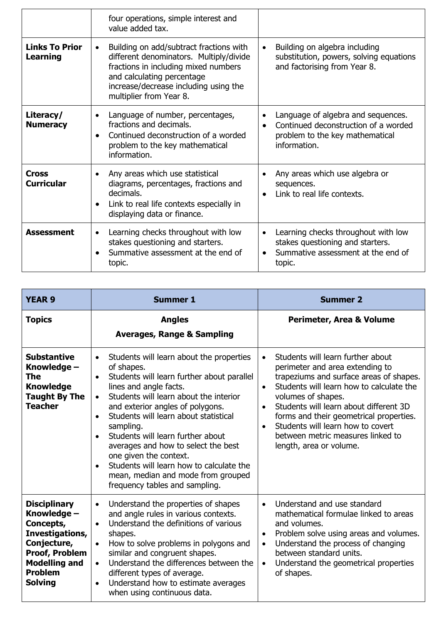|                                          | four operations, simple interest and<br>value added tax.                                                                                                                                                                                  |                                                                                                                                            |
|------------------------------------------|-------------------------------------------------------------------------------------------------------------------------------------------------------------------------------------------------------------------------------------------|--------------------------------------------------------------------------------------------------------------------------------------------|
| <b>Links To Prior</b><br><b>Learning</b> | Building on add/subtract fractions with<br>$\bullet$<br>different denominators. Multiply/divide<br>fractions in including mixed numbers<br>and calculating percentage<br>increase/decrease including using the<br>multiplier from Year 8. | Building on algebra including<br>$\bullet$<br>substitution, powers, solving equations<br>and factorising from Year 8.                      |
| Literacy/<br><b>Numeracy</b>             | Language of number, percentages,<br>$\bullet$<br>fractions and decimals.<br>Continued deconstruction of a worded<br>$\bullet$<br>problem to the key mathematical<br>information.                                                          | Language of algebra and sequences.<br>$\bullet$<br>Continued deconstruction of a worded<br>problem to the key mathematical<br>information. |
| <b>Cross</b><br><b>Curricular</b>        | Any areas which use statistical<br>$\bullet$<br>diagrams, percentages, fractions and<br>decimals.<br>Link to real life contexts especially in<br>$\bullet$<br>displaying data or finance.                                                 | Any areas which use algebra or<br>sequences.<br>Link to real life contexts.                                                                |
| <b>Assessment</b>                        | Learning checks throughout with low<br>$\bullet$<br>stakes questioning and starters.<br>Summative assessment at the end of<br>topic.                                                                                                      | Learning checks throughout with low<br>stakes questioning and starters.<br>Summative assessment at the end of<br>topic.                    |

| <b>YEAR 9</b>                                                                                                                                                          | <b>Summer 1</b>                                                                                                                                                                                                                                                                                                                                                                                                                                                                                                                                                            | <b>Summer 2</b>                                                                                                                                                                                                                                                                                                                                                                                                                 |
|------------------------------------------------------------------------------------------------------------------------------------------------------------------------|----------------------------------------------------------------------------------------------------------------------------------------------------------------------------------------------------------------------------------------------------------------------------------------------------------------------------------------------------------------------------------------------------------------------------------------------------------------------------------------------------------------------------------------------------------------------------|---------------------------------------------------------------------------------------------------------------------------------------------------------------------------------------------------------------------------------------------------------------------------------------------------------------------------------------------------------------------------------------------------------------------------------|
| <b>Topics</b>                                                                                                                                                          | <b>Angles</b><br><b>Averages, Range &amp; Sampling</b>                                                                                                                                                                                                                                                                                                                                                                                                                                                                                                                     | Perimeter, Area & Volume                                                                                                                                                                                                                                                                                                                                                                                                        |
| <b>Substantive</b><br>Knowledge -<br>The<br><b>Knowledge</b><br><b>Taught By The</b><br><b>Teacher</b>                                                                 | Students will learn about the properties<br>$\bullet$<br>of shapes.<br>Students will learn further about parallel<br>$\bullet$<br>lines and angle facts.<br>Students will learn about the interior<br>$\bullet$<br>and exterior angles of polygons.<br>Students will learn about statistical<br>$\bullet$<br>sampling.<br>Students will learn further about<br>$\bullet$<br>averages and how to select the best<br>one given the context.<br>Students will learn how to calculate the<br>$\bullet$<br>mean, median and mode from grouped<br>frequency tables and sampling. | Students will learn further about<br>$\bullet$<br>perimeter and area extending to<br>trapeziums and surface areas of shapes.<br>Students will learn how to calculate the<br>$\bullet$<br>volumes of shapes.<br>Students will learn about different 3D<br>$\bullet$<br>forms and their geometrical properties.<br>Students will learn how to covert<br>$\bullet$<br>between metric measures linked to<br>length, area or volume. |
| <b>Disciplinary</b><br>Knowledge -<br>Concepts,<br>Investigations,<br>Conjecture,<br><b>Proof, Problem</b><br><b>Modelling and</b><br><b>Problem</b><br><b>Solving</b> | Understand the properties of shapes<br>$\bullet$<br>and angle rules in various contexts.<br>Understand the definitions of various<br>$\bullet$<br>shapes.<br>How to solve problems in polygons and<br>$\bullet$<br>similar and congruent shapes.<br>Understand the differences between the<br>$\bullet$<br>different types of average.<br>Understand how to estimate averages<br>$\bullet$<br>when using continuous data.                                                                                                                                                  | Understand and use standard<br>$\bullet$<br>mathematical formulae linked to areas<br>and volumes.<br>Problem solve using areas and volumes.<br>$\bullet$<br>Understand the process of changing<br>$\bullet$<br>between standard units.<br>Understand the geometrical properties<br>$\bullet$<br>of shapes.                                                                                                                      |